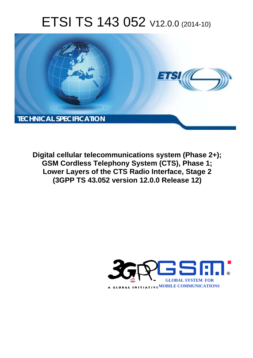# ETSI TS 143 052 V12.0.0 (2014-10)



**Digital cellular telecommunications system (Phase 2+); GSM Cordless Telephony System (CTS), Phase 1; Lower Layers of the CTS Radio Interface, Stage 2 (3GPP TS 43.052 version 12.0.0 Release 12)** 

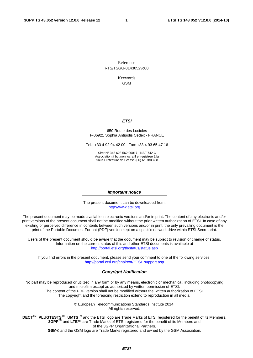Reference RTS/TSGG-0143052vc00

> Keywords **GSM**

#### *ETSI*

#### 650 Route des Lucioles F-06921 Sophia Antipolis Cedex - FRANCE

Tel.: +33 4 92 94 42 00 Fax: +33 4 93 65 47 16

Siret N° 348 623 562 00017 - NAF 742 C Association à but non lucratif enregistrée à la Sous-Préfecture de Grasse (06) N° 7803/88

#### *Important notice*

The present document can be downloaded from: [http://www.etsi.org](http://www.etsi.org/)

The present document may be made available in electronic versions and/or in print. The content of any electronic and/or print versions of the present document shall not be modified without the prior written authorization of ETSI. In case of any existing or perceived difference in contents between such versions and/or in print, the only prevailing document is the print of the Portable Document Format (PDF) version kept on a specific network drive within ETSI Secretariat.

Users of the present document should be aware that the document may be subject to revision or change of status. Information on the current status of this and other ETSI documents is available at <http://portal.etsi.org/tb/status/status.asp>

If you find errors in the present document, please send your comment to one of the following services: [http://portal.etsi.org/chaircor/ETSI\\_support.asp](http://portal.etsi.org/chaircor/ETSI_support.asp)

#### *Copyright Notification*

No part may be reproduced or utilized in any form or by any means, electronic or mechanical, including photocopying and microfilm except as authorized by written permission of ETSI.

The content of the PDF version shall not be modified without the written authorization of ETSI. The copyright and the foregoing restriction extend to reproduction in all media.

> © European Telecommunications Standards Institute 2014. All rights reserved.

**DECT**TM, **PLUGTESTS**TM, **UMTS**TM and the ETSI logo are Trade Marks of ETSI registered for the benefit of its Members. **3GPP**TM and **LTE**™ are Trade Marks of ETSI registered for the benefit of its Members and of the 3GPP Organizational Partners.

**GSM**® and the GSM logo are Trade Marks registered and owned by the GSM Association.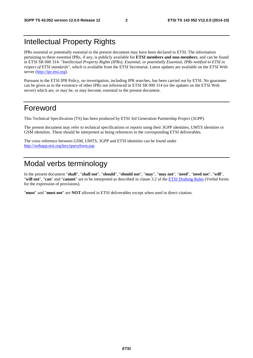# Intellectual Property Rights

IPRs essential or potentially essential to the present document may have been declared to ETSI. The information pertaining to these essential IPRs, if any, is publicly available for **ETSI members and non-members**, and can be found in ETSI SR 000 314: *"Intellectual Property Rights (IPRs); Essential, or potentially Essential, IPRs notified to ETSI in respect of ETSI standards"*, which is available from the ETSI Secretariat. Latest updates are available on the ETSI Web server ([http://ipr.etsi.org\)](http://webapp.etsi.org/IPR/home.asp).

Pursuant to the ETSI IPR Policy, no investigation, including IPR searches, has been carried out by ETSI. No guarantee can be given as to the existence of other IPRs not referenced in ETSI SR 000 314 (or the updates on the ETSI Web server) which are, or may be, or may become, essential to the present document.

# Foreword

This Technical Specification (TS) has been produced by ETSI 3rd Generation Partnership Project (3GPP).

The present document may refer to technical specifications or reports using their 3GPP identities, UMTS identities or GSM identities. These should be interpreted as being references to the corresponding ETSI deliverables.

The cross reference between GSM, UMTS, 3GPP and ETSI identities can be found under [http://webapp.etsi.org/key/queryform.asp.](http://webapp.etsi.org/key/queryform.asp)

# Modal verbs terminology

In the present document "**shall**", "**shall not**", "**should**", "**should not**", "**may**", "**may not**", "**need**", "**need not**", "**will**", "**will not**", "**can**" and "**cannot**" are to be interpreted as described in clause 3.2 of the [ETSI Drafting Rules](http://portal.etsi.org/Help/editHelp!/Howtostart/ETSIDraftingRules.aspx) (Verbal forms for the expression of provisions).

"**must**" and "**must not**" are **NOT** allowed in ETSI deliverables except when used in direct citation.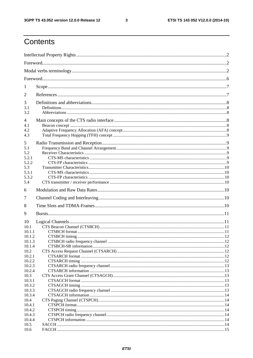$\mathbf{3}$ 

# Contents

| 1                 |  |  |  |  |  |
|-------------------|--|--|--|--|--|
| 2                 |  |  |  |  |  |
| 3<br>3.1<br>3.2   |  |  |  |  |  |
| $\overline{4}$    |  |  |  |  |  |
| 4.1<br>4.2<br>4.3 |  |  |  |  |  |
| 5                 |  |  |  |  |  |
| 5.1<br>5.2        |  |  |  |  |  |
| 5.2.1<br>5.2.2    |  |  |  |  |  |
| 5.3               |  |  |  |  |  |
| 5.3.1<br>5.3.2    |  |  |  |  |  |
| 5.4               |  |  |  |  |  |
| 6                 |  |  |  |  |  |
| 7                 |  |  |  |  |  |
| 8                 |  |  |  |  |  |
| 9                 |  |  |  |  |  |
| 10                |  |  |  |  |  |
| 10.1              |  |  |  |  |  |
| 10.1.1            |  |  |  |  |  |
| 10.1.2<br>10.1.3  |  |  |  |  |  |
| 10.1.4            |  |  |  |  |  |
| 10.2              |  |  |  |  |  |
| 10.2.1            |  |  |  |  |  |
| 10.2.2            |  |  |  |  |  |
| 10.2.3            |  |  |  |  |  |
| 10.2.4            |  |  |  |  |  |
| 10.3              |  |  |  |  |  |
| 10.3.1            |  |  |  |  |  |
| 10.3.2            |  |  |  |  |  |
| 10.3.3            |  |  |  |  |  |
| 10.3.4            |  |  |  |  |  |
| 10.4              |  |  |  |  |  |
| 10.4.1            |  |  |  |  |  |
| 10.4.2            |  |  |  |  |  |
| 10.4.3            |  |  |  |  |  |
| 10.4.4<br>10.5    |  |  |  |  |  |
|                   |  |  |  |  |  |
| 10.6              |  |  |  |  |  |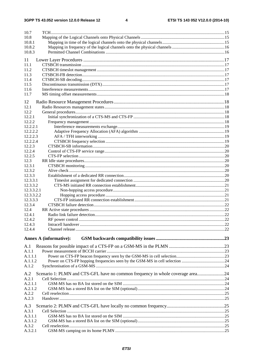| 10.7                 |                                                                                |  |
|----------------------|--------------------------------------------------------------------------------|--|
| 10.8                 |                                                                                |  |
| 10.8.1               |                                                                                |  |
| 10.8.2<br>10.8.3     |                                                                                |  |
|                      |                                                                                |  |
| 11                   |                                                                                |  |
| 11.1<br>11.2         |                                                                                |  |
| 11.3                 |                                                                                |  |
| 11.4                 |                                                                                |  |
| 11.5                 |                                                                                |  |
| 11.6                 |                                                                                |  |
| 11.7                 |                                                                                |  |
| 12                   |                                                                                |  |
| 12.1                 |                                                                                |  |
| 12.2                 |                                                                                |  |
| 12.2.1               |                                                                                |  |
| 12.2.2               |                                                                                |  |
| 12.2.2.1<br>12.2.2.2 |                                                                                |  |
| 12.2.2.3             |                                                                                |  |
| 12.2.2.4             |                                                                                |  |
| 12.2.3               |                                                                                |  |
| 12.2.4               |                                                                                |  |
| 12.2.5               |                                                                                |  |
| 12.3                 |                                                                                |  |
| 12.3.1<br>12.3.2     |                                                                                |  |
| 12.3.3               |                                                                                |  |
| 12.3.3.1             |                                                                                |  |
| 12.3.3.2             |                                                                                |  |
| 12.3.3.2.1           |                                                                                |  |
| 12.3.3.2.2           |                                                                                |  |
| 12.3.3.3             |                                                                                |  |
| 12.3.4<br>12.4       |                                                                                |  |
| 12.4.1               |                                                                                |  |
| 12.4.2               |                                                                                |  |
| 12.4.3               |                                                                                |  |
| 12.4.4               |                                                                                |  |
|                      |                                                                                |  |
|                      | Annex A (informative):                                                         |  |
| A.1                  |                                                                                |  |
| A.1.1                |                                                                                |  |
| A.1.1.1<br>A.1.1.2   |                                                                                |  |
| A.1.2                |                                                                                |  |
|                      |                                                                                |  |
| A.2                  | Scenario 1: PLMN and CTS-GFL have no common frequency in whole coverage area24 |  |
| A.2.1                |                                                                                |  |
| A.2.1.1<br>A.2.1.2   |                                                                                |  |
| A.2.2                |                                                                                |  |
| A.2.3                |                                                                                |  |
|                      |                                                                                |  |
| A.3<br>A.3.1         |                                                                                |  |
| A.3.1.1              |                                                                                |  |
|                      |                                                                                |  |
| A.3.1.2              |                                                                                |  |
| A.3.2<br>A.3.2.1     |                                                                                |  |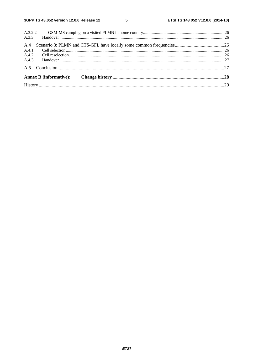$5\phantom{a}$ 

| A.3.2.2 |                               |  |
|---------|-------------------------------|--|
| A.3.3   |                               |  |
| A.4     |                               |  |
| A.4.1   |                               |  |
| A.4.2   |                               |  |
|         |                               |  |
|         |                               |  |
|         | <b>Annex B</b> (informative): |  |
|         |                               |  |
|         |                               |  |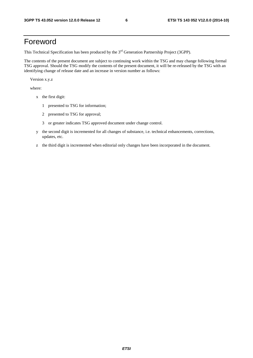# Foreword

This Technical Specification has been produced by the 3<sup>rd</sup> Generation Partnership Project (3GPP).

The contents of the present document are subject to continuing work within the TSG and may change following formal TSG approval. Should the TSG modify the contents of the present document, it will be re-released by the TSG with an identifying change of release date and an increase in version number as follows:

Version x.y.z

where:

- x the first digit:
	- 1 presented to TSG for information;
	- 2 presented to TSG for approval;
	- 3 or greater indicates TSG approved document under change control.
- y the second digit is incremented for all changes of substance, i.e. technical enhancements, corrections, updates, etc.
- z the third digit is incremented when editorial only changes have been incorporated in the document.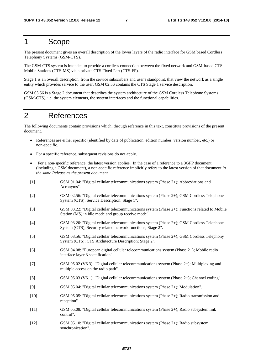# 1 Scope

The present document gives an overall description of the lower layers of the radio interface for GSM based Cordless Telephony Systems (GSM-CTS).

The GSM-CTS system is intended to provide a cordless connection between the fixed network and GSM-based CTS Mobile Stations (CTS-MS) via a private CTS Fixed Part (CTS-FP).

Stage 1 is an overall description, from the service subscribers and user's standpoint, that view the network as a single entity which provides service to the user. GSM 02.56 contains the CTS Stage 1 service description.

GSM 03.56 is a Stage 2 document that describes the system architecture of the GSM Cordless Telephone Systems (GSM-CTS), i.e. the system elements, the system interfaces and the functional capabilities.

# 2 References

The following documents contain provisions which, through reference in this text, constitute provisions of the present document.

- References are either specific (identified by date of publication, edition number, version number, etc.) or non-specific.
- For a specific reference, subsequent revisions do not apply.
- For a non-specific reference, the latest version applies. In the case of a reference to a 3GPP document (including a GSM document), a non-specific reference implicitly refers to the latest version of that document *in the same Release as the present document*.
- [1] GSM 01.04: "Digital cellular telecommunications system (Phase 2+); Abbreviations and Acronyms". [2] GSM 02.56: "Digital cellular telecommunications system (Phase 2+); GSM Cordless Telephone System (CTS); Service Description; Stage 1". [3] GSM 03.22: "Digital cellular telecommunications system (Phase 2+); Functions related to Mobile Station (MS) in idle mode and group receive mode". [4] GSM 03.20: "Digital cellular telecommunications system (Phase 2+); GSM Cordless Telephone System (CTS); Security related network functions; Stage 2". [5] GSM 03.56: "Digital cellular telecommunications system (Phase 2+); GSM Cordless Telephony System (CTS); CTS Architecture Description; Stage 2". [6] GSM 04.08: "European digital cellular telecommunications system (Phase 2+); Mobile radio interface layer 3 specification". [7] GSM 05.02 (V6.3): "Digital cellular telecommunications system (Phase 2+); Multiplexing and multiple access on the radio path". [8] GSM 05.03 (V6.1): "Digital cellular telecommunications system (Phase 2+); Channel coding". [9] GSM 05.04: "Digital cellular telecommunications system (Phase 2+); Modulation". [10] GSM 05.05: "Digital cellular telecommunications system (Phase 2+); Radio transmission and reception". [11] GSM 05.08: "Digital cellular telecommunications system (Phase 2+); Radio subsystem link control". [12] GSM 05.10: "Digital cellular telecommunications system (Phase 2+); Radio subsystem synchronization".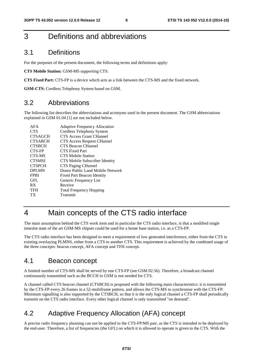# 3 Definitions and abbreviations

#### 3.1 Definitions

For the purposes of the present document, the following terms and definitions apply:

**CTS Mobile Station:** GSM-MS supporting CTS.

**CTS Fixed Part:** CTS-FP is a device which acts as a link between the CTS-MS and the fixed network.

**GSM-CTS:** Cordless Telephony System based on GSM.

### 3.2 Abbreviations

The following list describes the abbreviations and acronyms used in the present document. The GSM abbreviations explained in GSM 01.04 [1] are not included below.

| AFA            | <b>Adaptive Frequency Allocation</b> |
|----------------|--------------------------------------|
| <b>CTS</b>     | Cordless Telephony System            |
| <b>CTSAGCH</b> | CTS Access Grant CHannel             |
| <b>CTSARCH</b> | <b>CTS</b> Access Request CHannel    |
| <b>CTSBCH</b>  | CTS Beacon CHannel                   |
| CTS-FP         | CTS Fixed Part                       |
| CTS-MS         | <b>CTS Mobile Station</b>            |
| <b>CTSMSI</b>  | CTS Mobile Subscriber Identity       |
| <b>CTSPCH</b>  | CTS Paging CHannel                   |
| <b>DPLMN</b>   | Donor Public Land Mobile Network     |
| <b>FPBI</b>    | Fixed Part Beacon Identity           |
| GFL            | Generic Frequency List               |
| <b>RX</b>      | Receive                              |
| <b>TFH</b>     | <b>Total Frequency Hopping</b>       |
| ТX             | Transmit                             |
|                |                                      |

# 4 Main concepts of the CTS radio interface

The main assumption behind the CTS work item and in particular the CTS radio interface, is that a modified single timeslot state of the art GSM-MS chipset could be used for a home base station, i.e. as a CTS-FP.

The CTS radio interface has been designed to meet a requirement of low generated interference, either from the CTS to existing overlaying PLMNS, either from a CTS to another CTS. This requirement is achieved by the combined usage of the three concepts: beacon concept, AFA concept and TFH concept.

### 4.1 Beacon concept

A limited number of CTS-MS shall be served by one CTS-FP (see GSM 02.56). Therefore, a broadcast channel continuously transmitted such as the BCCH in GSM is not needed for CTS.

A channel called CTS beacon channel (CTSBCH) is proposed with the following main characteristics: it is transmitted by the CTS-FP every 26 frames in a 52-multiframe pattern, and allows the CTS-MS to synchronise with the CTS-FP. Minimum signalling is also supported by the CTSBCH, so that it is the only logical channel a CTS-FP shall periodically transmit on the CTS radio interface. Every other logical channel is only transmitted "on demand".

## 4.2 Adaptive Frequency Allocation (AFA) concept

A precise radio frequency planning can not be applied to the CTS-FP/MS pair, as the CTS is intended to be deployed by the end-user. Therefore, a list of frequencies (the GFL) on which it is allowed to operate is given to the CTS. With the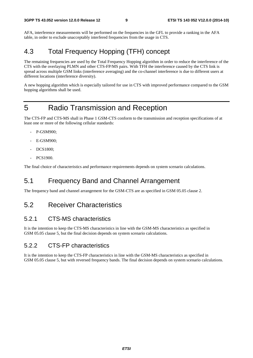AFA, interference measurements will be performed on the frequencies in the GFL to provide a ranking in the AFA table, in order to exclude unacceptably interfered frequencies from the usage in CTS.

# 4.3 Total Frequency Hopping (TFH) concept

The remaining frequencies are used by the Total Frequency Hopping algorithm in order to reduce the interference of the CTS with the overlaying PLMN and other CTS-FP/MS pairs. With TFH the interference caused by the CTS link is spread across multiple GSM links (interference averaging) and the co-channel interference is due to different users at different locations (interference diversity).

A new hopping algorithm which is especially tailored for use in CTS with improved performance compared to the GSM hopping algorithms shall be used.

# 5 Radio Transmission and Reception

The CTS-FP and CTS-MS shall in Phase 1 GSM-CTS conform to the transmission and reception specifications of at least one or more of the following cellular standards:

- P-GSM900;
- E-GSM900:
- DCS1800;
- PCS1900.

The final choice of characteristics and performance requirements depends on system scenario calculations.

## 5.1 Frequency Band and Channel Arrangement

The frequency band and channel arrangement for the GSM-CTS are as specified in GSM 05.05 clause 2.

### 5.2 Receiver Characteristics

#### 5.2.1 CTS-MS characteristics

It is the intention to keep the CTS-MS characteristics in line with the GSM-MS characteristics as specified in GSM 05.05 clause 5, but the final decision depends on system scenario calculations.

#### 5.2.2 CTS-FP characteristics

It is the intention to keep the CTS-FP characteristics in line with the GSM-MS characteristics as specified in GSM 05.05 clause 5, but with reversed frequency bands. The final decision depends on system scenario calculations.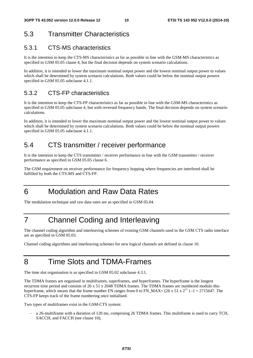# 5.3 Transmitter Characteristics

#### 5.3.1 CTS-MS characteristics

It is the intention to keep the CTS-MS characteristics as far as possible in line with the GSM-MS characteristics as specified in GSM 05.05 clause 4, but the final decision depends on system scenario calculations.

In addition, it is intended to lower the maximum nominal output power and the lowest nominal output power to values which shall be determined by system scenario calculations. Both values could be below the nominal output powers specified in GSM 05.05 subclause 4.1.1.

### 5.3.2 CTS-FP characteristics

It is the intention to keep the CTS-FP characteristics as far as possible in line with the GSM-MS characteristics as specified in GSM 05.05 subclause 4, but with reversed frequency bands. The final decision depends on system scenario calculations.

In addition, it is intended to lower the maximum nominal output power and the lowest nominal output power to values which shall be determined by system scenario calculations. Both values could be below the nominal output powers specified in GSM 05.05 subclause 4.1.1.

# 5.4 CTS transmitter / receiver performance

It is the intention to keep the CTS transmitter / receiver performance in line with the GSM transmitter / receiver performance as specified in GSM 05.05 clause 6.

The GSM requirement on receiver performance for frequency hopping where frequencies are interfered shall be fulfilled by both the CTS-MS and CTS-FP.

# 6 Modulation and Raw Data Rates

The modulation technique and raw data rates are as specified in GSM 05.04.

# 7 Channel Coding and Interleaving

The channel coding algorithm and interleaving schemes of existing GSM channels used in the GSM CTS radio interface are as specified in GSM 05.03.

Channel coding algorithms and interleaving schemes for new logical channels are defined in clause 10.

# 8 Time Slots and TDMA-Frames

The time slot organisation is as specified in GSM 05.02 subclause 4.3.1.

The TDMA frames are organised in multiframes, superframes, and hyperframes. The hyperframe is the longest recurrent time period and consists of 26 x 51 x 2048 TDMA frames. The TDMA frames are numbered modulo this hyperframe, which means that the frame number FN ranges from 0 to FN\_MAX= (26 x 51 x  $2^{11}$ ) -1 = 2715647. The CTS-FP keeps track of the frame numbering once initialised.

Two types of multiframes exist in the GSM-CTS system:

- a 26-multiframe with a duration of 120 ms, comprising 26 TDMA frames. This multiframe is used to carry TCH, SACCH, and FACCH (see clause 10);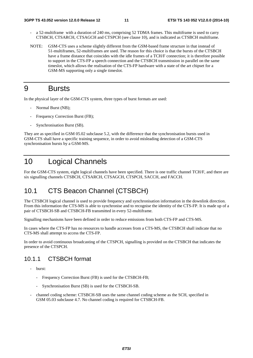- a 52-multiframe with a duration of 240 ms, comprising 52 TDMA frames. This multiframe is used to carry CTSBCH, CTSARCH, CTSAGCH and CTSPCH (see clause 10), and is indicated as CTSBCH multiframe.
- NOTE: GSM-CTS uses a scheme slightly different from the GSM-based frame structure in that instead of 51-multiframes, 52-multiframes are used. The reason for this choice is that the bursts of the CTSBCH have a frame distance that coincides with the idle frames of a TCH/F connection; it is therefore possible to support in the CTS-FP a speech connection and the CTSBCH transmission in parallel on the same timeslot, which allows the realisation of the CTS-FP hardware with a state of the art chipset for a GSM-MS supporting only a single timeslot.

# 9 Bursts

In the physical layer of the GSM-CTS system, three types of burst formats are used:

- Normal Burst (NB);
- Frequency Correction Burst (FB);
- Synchronisation Burst (SB).

They are as specified in GSM 05.02 subclause 5.2, with the difference that the synchronisation bursts used in GSM-CTS shall have a specific training sequence, in order to avoid misleading detection of a GSM-CTS synchronisation bursts by a GSM-MS.

# 10 Logical Channels

For the GSM-CTS system, eight logical channels have been specified. There is one traffic channel TCH/F, and there are six signalling channels CTSBCH, CTSARCH, CTSAGCH, CTSPCH, SACCH, and FACCH.

# 10.1 CTS Beacon Channel (CTSBCH)

The CTSBCH logical channel is used to provide frequency and synchronisation information in the downlink direction. From this information the CTS-MS is able to synchronise and to recognise the identity of the CTS-FP. It is made up of a pair of CTSBCH-SB and CTSBCH-FB transmitted in every 52-multiframe.

Signalling mechanisms have been defined in order to reduce emissions from both CTS-FP and CTS-MS.

In cases where the CTS-FP has no resources to handle accesses from a CTS-MS, the CTSBCH shall indicate that no CTS-MS shall attempt to access the CTS-FP.

In order to avoid continuous broadcasting of the CTSPCH, signalling is provided on the CTSBCH that indicates the presence of the CTSPCH.

#### 10.1.1 CTSBCH format

- burst:
	- Frequency Correction Burst (FB) is used for the CTSBCH-FB;
	- Synchronisation Burst (SB) is used for the CTSBCH-SB.
- channel coding scheme: CTSBCH-SB uses the same channel coding scheme as the SCH, specified in GSM 05.03 subclause 4.7. No channel coding is required for CTSBCH-FB.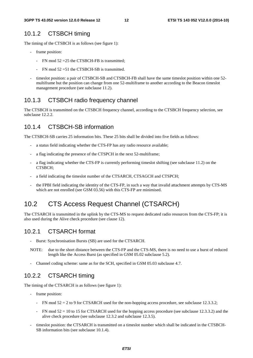#### 10.1.2 CTSBCH timing

The timing of the CTSBCH is as follows (see figure 1):

- frame position:
	- FN mod 52 = 25 the CTSBCH-FB is transmitted;
	- $FN \mod 52 = 51$  the CTSBCH-SB is transmitted.
- timeslot position: a pair of CTSBCH-SB and CTSBCH-FB shall have the same timeslot position within one 52multiframe but the position can change from one 52-multiframe to another according to the Beacon timeslot management procedure (see subclause 11.2).

#### 10.1.3 CTSBCH radio frequency channel

The CTSBCH is transmitted on the CTSBCH frequency channel, according to the CTSBCH frequency selection, see subclause 12.2.2.

#### 10.1.4 CTSBCH-SB information

The CTSBCH-SB carries 25 information bits. These 25 bits shall be divided into five fields as follows:

- a status field indicating whether the CTS-FP has any radio resource available;
- a flag indicating the presence of the CTSPCH in the next 52-multiframe;
- a flag indicating whether the CTS-FP is currently performing timeslot shifting (see subclause 11.2) on the CTSBCH;
- a field indicating the timeslot number of the CTSARCH, CTSAGCH and CTSPCH;
- the FPBI field indicating the identity of the CTS-FP, in such a way that invalid attachment attempts by CTS-MS which are not enrolled (see GSM 03.56) with this CTS-FP are minimised.

### 10.2 CTS Access Request Channel (CTSARCH)

The CTSARCH is transmitted in the uplink by the CTS-MS to request dedicated radio resources from the CTS-FP; it is also used during the Alive check procedure (see clause 12).

#### 10.2.1 CTSARCH format

- Burst: Synchronisation Bursts (SB) are used for the CTSARCH.
- NOTE: due to the short distance between the CTS-FP and the CTS-MS, there is no need to use a burst of reduced length like the Access Burst (as specified in GSM 05.02 subclause 5.2).
- Channel coding scheme: same as for the SCH, specified in GSM 05.03 subclause 4.7.

#### 10.2.2 CTSARCH timing

The timing of the CTSARCH is as follows (see figure 1):

- frame position:
	- FN mod  $52 = 2$  to 9 for CTSARCH used for the non-hopping access procedure, see subclause 12.3.3.2;
	- FN mod  $52 = 10$  to 15 for CTSARCH used for the hopping access procedure (see subclause 12.3.3.2) and the alive check procedure (see subclause 12.3.2 and subclause 12.3.5).
- timeslot position: the CTSARCH is transmitted on a timeslot number which shall be indicated in the CTSBCH-SB information bits (see subclause 10.1.4).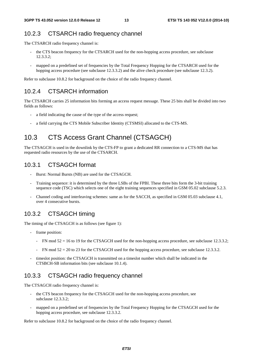#### 10.2.3 CTSARCH radio frequency channel

The CTSARCH radio frequency channel is:

- the CTS beacon frequency for the CTSARCH used for the non-hopping access procedure, see subclause 12.3.3.2;
- mapped on a predefined set of frequencies by the Total Frequency Hopping for the CTSARCH used for the hopping access procedure (see subclause 12.3.3.2) and the alive check procedure (see subclause 12.3.2).

Refer to subclause 10.8.2 for background on the choice of the radio frequency channel.

#### 10.2.4 CTSARCH information

The CTSARCH carries 25 information bits forming an access request message. These 25 bits shall be divided into two fields as follows:

- a field indicating the cause of the type of the access request;
- a field carrying the CTS Mobile Subscriber Identity (CTSMSI) allocated to the CTS-MS.

# 10.3 CTS Access Grant Channel (CTSAGCH)

The CTSAGCH is used in the downlink by the CTS-FP to grant a dedicated RR connection to a CTS-MS that has requested radio resources by the use of the CTSARCH.

#### 10.3.1 CTSAGCH format

- Burst: Normal Bursts (NB) are used for the CTSAGCH.
- Training sequence: it is determined by the three LSBs of the FPBI. These three bits form the 3-bit training sequence code (TSC) which selects one of the eight training sequences specified in GSM 05.02 subclause 5.2.3.
- Channel coding and interleaving schemes: same as for the SACCH, as specified in GSM 05.03 subclause 4.1, over 4 consecutive bursts.

### 10.3.2 CTSAGCH timing

The timing of the CTSAGCH is as follows (see figure 1):

- frame position:
	- FN mod  $52 = 16$  to 19 for the CTSAGCH used for the non-hopping access procedure, see subclause 12.3.3.2;
	- FN mod  $52 = 20$  to 23 for the CTSAGCH used for the hopping access procedure, see subclause 12.3.3.2.
- timeslot position: the CTSAGCH is transmitted on a timeslot number which shall be indicated in the CTSBCH-SB information bits (see subclause 10.1.4).

#### 10.3.3 CTSAGCH radio frequency channel

The CTSAGCH radio frequency channel is:

- the CTS beacon frequency for the CTSAGCH used for the non-hopping access procedure, see subclause 12.3.3.2;
- mapped on a predefined set of frequencies by the Total Frequency Hopping for the CTSAGCH used for the hopping access procedure, see subclause 12.3.3.2.

Refer to subclause 10.8.2 for background on the choice of the radio frequency channel.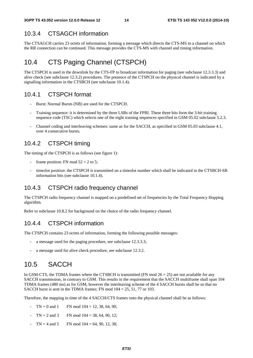#### 10.3.4 CTSAGCH information

The CTSAGCH carries 23 octets of information, forming a message which directs the CTS-MS to a channel on which the RR connection can be continued. This message provides the CTS-MS with channel and timing information.

# 10.4 CTS Paging Channel (CTSPCH)

The CTSPCH is used in the downlink by the CTS-FP to broadcast information for paging (see subclause 12.3.3.3) and alive check (see subclause 12.3.2) procedures. The presence of the CTSPCH on the physical channel is indicated by a signalling information in the CTSBCH (see subclause 10.1.4).

#### 10.4.1 CTSPCH format

- Burst: Normal Bursts (NB) are used for the CTSPCH.
- Training sequence: it is determined by the three LSBs of the FPBI. These three bits form the 3-bit training sequence code (TSC) which selects one of the eight training sequences specified in GSM 05.02 subclause 5.2.3.
- Channel coding and interleaving schemes: same as for the SACCH, as specified in GSM 05.03 subclause 4.1, over 4 consecutive bursts.

#### 10.4.2 CTSPCH timing

The timing of the CTSPCH is as follows (see figure 1):

- frame position: FN mod  $52 = 2$  to 5;
- timeslot position: the CTSPCH is transmitted on a timeslot number which shall be indicated in the CTSBCH-SB information bits (see subclause 10.1.4).

#### 10.4.3 CTSPCH radio frequency channel

The CTSPCH radio frequency channel is mapped on a predefined set of frequencies by the Total Frequency Hopping algorithm.

Refer to subclause 10.8.2 for background on the choice of the radio frequency channel.

#### 10.4.4 CTSPCH information

The CTSPCH contains 23 octets of information, forming the following possible messages:

- a message used for the paging procedure, see subclause 12.3.3.3;
- a message used for alive check procedure, see subclause 12.3.2.

# 10.5 SACCH

In GSM-CTS, the TDMA frames where the CTSBCH is transmitted (FN mod  $26 = 25$ ) are not available for any SACCH transmission, in contrary to GSM. This results in the requirement that the SACCH multiframe shall span 104 TDMA frames (480 ms) as for GSM, however the interleaving scheme of the 4 SACCH bursts shall be so that no SACCH burst is sent in the TDMA frames: FN mod  $104 = 25, 51, 77$  or 103.

Therefore, the mapping in time of the 4 SACCH/CTS frames onto the physical channel shall be as follows:

- $TN = 0$  and 1 FN mod  $104 = 12, 38, 64, 90$ ;
- $TN = 2$  and 3 FN mod  $104 = 38, 64, 90, 12$ ;
- $TN = 4$  and  $5$  FN mod  $104 = 64, 90, 12, 38$ ;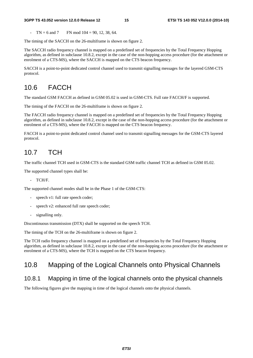#### **3GPP TS 43.052 version 12.0.0 Release 12 15 ETSI TS 143 052 V12.0.0 (2014-10)**

 $TN = 6$  and  $7$  FN mod  $104 = 90, 12, 38, 64$ .

The timing of the SACCH on the 26-multiframe is shown on figure 2.

The SACCH radio frequency channel is mapped on a predefined set of frequencies by the Total Frequency Hopping algorithm, as defined in subclause 10.8.2, except in the case of the non-hopping access procedure (for the attachment or enrolment of a CTS-MS), where the SACCH is mapped on the CTS beacon frequency.

SACCH is a point-to-point dedicated control channel used to transmit signalling messages for the layered GSM-CTS protocol.

# 10.6 FACCH

The standard GSM FACCH as defined in GSM 05.02 is used in GSM-CTS. Full rate FACCH/F is supported.

The timing of the FACCH on the 26-multiframe is shown on figure 2.

The FACCH radio frequency channel is mapped on a predefined set of frequencies by the Total Frequency Hopping algorithm, as defined in subclause 10.8.2, except in the case of the non-hopping access procedure (for the attachment or enrolment of a CTS-MS), where the FACCH is mapped on the CTS beacon frequency.

FACCH is a point-to-point dedicated control channel used to transmit signalling messages for the GSM-CTS layered protocol.

# 10.7 TCH

The traffic channel TCH used in GSM-CTS is the standard GSM traffic channel TCH as defined in GSM 05.02.

The supported channel types shall be:

- TCH/F.

The supported channel modes shall be in the Phase 1 of the GSM-CTS:

- speech v1: full rate speech coder;
- speech v2: enhanced full rate speech coder;
- signalling only.

Discontinuous transmission (DTX) shall be supported on the speech TCH.

The timing of the TCH on the 26-multiframe is shown on figure 2.

The TCH radio frequency channel is mapped on a predefined set of frequencies by the Total Frequency Hopping algorithm, as defined in subclause 10.8.2, except in the case of the non-hopping access procedure (for the attachment or enrolment of a CTS-MS), where the TCH is mapped on the CTS beacon frequency.

## 10.8 Mapping of the Logical Channels onto Physical Channels

#### 10.8.1 Mapping in time of the logical channels onto the physical channels

The following figures give the mapping in time of the logical channels onto the physical channels.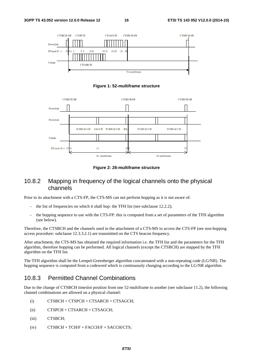

**Figure 1: 52-multiframe structure** 



**Figure 2: 26-multiframe structure** 

#### 10.8.2 Mapping in frequency of the logical channels onto the physical channels

Prior to its attachment with a CTS-FP, the CTS-MS can not perform hopping as it is not aware of:

- the list of frequencies on which it shall hop: the TFH list (see subclause 12.2.2);
- the hopping sequence to use with the CTS-FP: this is computed from a set of parameters of the TFH algorithm (see below).

Therefore, the CTSBCH and the channels used in the attachment of a CTS-MS to access the CTS-FP (see non-hopping access procedure: subclause 12.3.3.2.1) are transmitted on the CTS beacon frequency.

After attachment, the CTS-MS has obtained the required information i.e. the TFH list and the parameters for the TFH algorithm, therefore hopping can be performed. All logical channels (except the CTSBCH) are mapped by the TFH algorithm on the TFH list.

The TFH algorithm shall be the Lempel-Greenberger algorithm concatenated with a non-repeating code (LG/NR). The hopping sequence is computed from a codeword which is continuously changing according to the LG/NR algorithm.

#### 10.8.3 Permitted Channel Combinations

Due to the change of CTSBCH timeslot position from one 52-multiframe to another (see subclause 11.2), the following channel combinations are allowed on a physical channel:

- (i) CTSBCH + CTSPCH + CTSARCH + CTSAGCH;
- (ii) CTSPCH + CTSARCH + CTSAGCH;
- (iii) CTSBCH;
- $(iv)$  CTSBCH + TCH/F + FACCH/F + SACCH/CTS;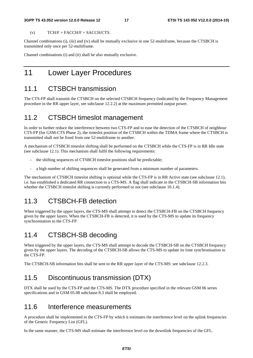#### **3GPP TS 43.052 version 12.0.0 Release 12 17 ETSI TS 143 052 V12.0.0 (2014-10)**

 $(V)$  TCH/F + FACCH/F + SACCH/CTS.

Channel combinations (i), (iii) and (iv) shall be mutually exclusive in one 52-multiframe, because the CTSBCH is transmitted only once per 52-multiframe.

Channel combinations (i) and (ii) shall be also mutually exclusive.

# 11 Lower Layer Procedures

## 11.1 CTSBCH transmission

The CTS-FP shall transmit the CTSBCH on the selected CTSBCH frequency (indicated by the Frequency Management procedure in the RR upper layer, see subclause 12.2.2) at the maximum permitted output power.

# 11.2 CTSBCH timeslot management

In order to further reduce the interference between two CTS-FP and to ease the detection of the CTSBCH of neighbour CTS-FP (for GSM-CTS Phase 2), the timeslot position of the CTSBCH within the TDMA frame where the CTSBCH is transmitted shall not be fixed from one 52-multiframe to another.

A mechanism of CTSBCH timeslot shifting shall be performed on the CTSBCH while the CTS-FP is in RR Idle state (see subclause 12.1). This mechanism shall fulfil the following requirements:

- the shifting sequences of CTSBCH timeslot positions shall be predictable;
- a high number of shifting sequences shall be generated from a minimum number of parameters.

The mechanism of CTSBCH timeslot shifting is optional while the CTS-FP is in RR Active state (see subclause 12.1), i.e. has established a dedicated RR connection to a CTS-MS. A flag shall indicate in the CTSBCH-SB information bits whether the CTSBCH timeslot shifting is currently performed or not (see subclause 10.1.4).

# 11.3 CTSBCH-FB detection

When triggered by the upper layers, the CTS-MS shall attempt to detect the CTSBCH-FB on the CTSBCH frequency given by the upper layers. When the CTSBCH-FB is detected, it is used by the CTS-MS to update its frequency synchronisation to the CTS-FP.

# 11.4 CTSBCH-SB decoding

When triggered by the upper layers, the CTS-MS shall attempt to decode the CTSBCH-SB on the CTSBCH frequency given by the upper layers. The decoding of the CTSBCH-SB allows the CTS-MS to update its time synchronisation to the CTS-FP.

The CTSBCH-SB information bits shall be sent to the RR upper layer of the CTS-MS: see subclause 12.2.3.

# 11.5 Discontinuous transmission (DTX)

DTX shall be used by the CTS-FP and the CTS-MS. The DTX procedure specified in the relevant GSM 06 series specifications and in GSM 05.08 subclause 8.3 shall be employed.

### 11.6 Interference measurements

A procedure shall be implemented in the CTS-FP by which it estimates the interference level on the uplink frequencies of the Generic Frequency List (GFL).

In the same manner, the CTS-MS shall estimate the interference level on the downlink frequencies of the GFL.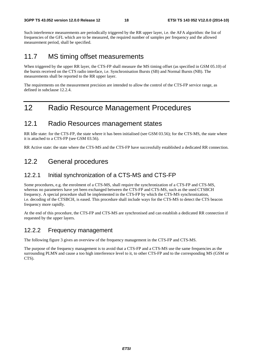Such interference measurements are periodically triggered by the RR upper layer, i.e. the AFA algorithm: the list of frequencies of the GFL which are to be measured, the required number of samples per frequency and the allowed measurement period, shall be specified.

### 11.7 MS timing offset measurements

When triggered by the upper RR layer, the CTS-FP shall measure the MS timing offset (as specified in GSM 05.10) of the bursts received on the CTS radio interface, i.e. Synchronisation Bursts (SB) and Normal Bursts (NB). The measurements shall be reported to the RR upper layer.

The requirements on the measurement precision are intended to allow the control of the CTS-FP service range, as defined in subclause 12.2.4.

# 12 Radio Resource Management Procedures

#### 12.1 Radio Resources management states

RR Idle state: for the CTS-FP, the state where it has been initialised (see GSM 03.56); for the CTS-MS, the state where it is attached to a CTS-FP (see GSM 03.56).

RR Active state: the state where the CTS-MS and the CTS-FP have successfully established a dedicated RR connection.

# 12.2 General procedures

#### 12.2.1 Initial synchronization of a CTS-MS and CTS-FP

Some procedures, e.g. the enrolment of a CTS-MS, shall require the synchronization of a CTS-FP and CTS-MS, whereas no parameters have yet been exchanged between the CTS-FP and CTS-MS, such as the used CTSBCH frequency. A special procedure shall be implemented in the CTS-FP by which the CTS-MS synchronization, i.e. decoding of the CTSBCH, is eased. This procedure shall include ways for the CTS-MS to detect the CTS beacon frequency more rapidly.

At the end of this procedure, the CTS-FP and CTS-MS are synchronised and can establish a dedicated RR connection if requested by the upper layers.

#### 12.2.2 Frequency management

The following figure 3 gives an overview of the frequency management in the CTS-FP and CTS-MS.

The purpose of the frequency management is to avoid that a CTS-FP and a CTS-MS use the same frequencies as the surrounding PLMN and cause a too high interference level to it, to other CTS-FP and to the corresponding MS (GSM or CTS).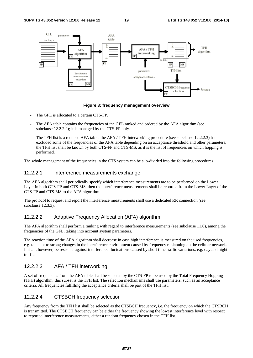

**Figure 3: frequency management overview** 

- The GFL is allocated to a certain CTS-FP.
- The AFA table contains the frequencies of the GFL ranked and ordered by the AFA algorithm (see subclause 12.2.2.2); it is managed by the CTS-FP only.
- The TFH list is a reduced AFA table: the AFA / TFH interworking procedure (see subclause 12.2.2.3) has excluded some of the frequencies of the AFA table depending on an acceptance threshold and other parameters; the TFH list shall be known by both CTS-FP and CTS-MS, as it is the list of frequencies on which hopping is performed.

The whole management of the frequencies in the CTS system can be sub-divided into the following procedures.

#### 12.2.2.1 Interference measurements exchange

The AFA algorithm shall periodically specify which interference measurements are to be performed on the Lower Layer in both CTS-FP and CTS-MS, then the interference measurements shall be reported from the Lower Layer of the CTS-FP and CTS-MS to the AFA algorithm.

The protocol to request and report the interference measurements shall use a dedicated RR connection (see subclause 12.3.3).

#### 12.2.2.2 Adaptive Frequency Allocation (AFA) algorithm

The AFA algorithm shall perform a ranking with regard to interference measurements (see subclause 11.6), among the frequencies of the GFL, taking into account system parameters.

The reaction time of the AFA algorithm shall decrease in case high interference is measured on the used frequencies, e.g. to adapt to strong changes in the interference environment caused by frequency replanning on the cellular network. It shall, however, be resistant against interference fluctuations caused by short time traffic variations, e.g. day and night traffic.

#### 12.2.2.3 AFA / TFH interworking

A set of frequencies from the AFA table shall be selected by the CTS-FP to be used by the Total Frequency Hopping (TFH) algorithm: this subset is the TFH list. The selection mechanisms shall use parameters, such as an acceptance criteria. All frequencies fulfilling the acceptance criteria shall be part of the TFH list.

#### 12.2.2.4 CTSBCH frequency selection

Any frequency from the TFH list shall be selected as the CTSBCH frequency, i.e. the frequency on which the CTSBCH is transmitted. The CTSBCH frequency can be either the frequency showing the lowest interference level with respect to reported interference measurements, either a random frequency chosen in the TFH list.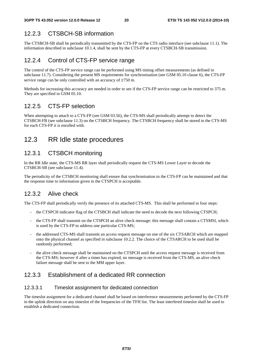### 12.2.3 CTSBCH-SB information

The CTSBCH-SB shall be periodically transmitted by the CTS-FP on the CTS radio interface (see subclause 11.1). The information described in subclause 10.1.4, shall be sent by the CTS-FP at every CTSBCH-SB transmission.

#### 12.2.4 Control of CTS-FP service range

The control of the CTS-FP service range can be performed using MS timing offset measurements (as defined in subclause 11.7). Considering the present MS requirements for synchronisation (see GSM 05.10 clause 6), the CTS-FP service range can be only controlled with an accuracy of ±750 m.

Methods for increasing this accuracy are needed in order to see if the CTS-FP service range can be restricted to 375 m. They are specified in GSM 05.10.

#### 12.2.5 CTS-FP selection

When attempting to attach to a CTS-FP (see GSM 03.56), the CTS-MS shall periodically attempt to detect the CTSBCH-FB (see subclause 11.3) on the CTSBCH frequency. The CTSBCH frequency shall be stored in the CTS-MS for each CTS-FP it is enrolled with.

# 12.3 RR Idle state procedures

#### 12.3.1 CTSBCH monitoring

In the RR Idle state, the CTS-MS RR layer shall periodically request the CTS-MS Lower Layer to decode the CTSBCH-SB (see subclause 11.4).

The periodicity of the CTSBCH monitoring shall ensure that synchronisation to the CTS-FP can be maintained and that the response time to information given in the CTSPCH is acceptable.

#### 12.3.2 Alive check

The CTS-FP shall periodically verify the presence of its attached CTS-MS. This shall be performed in four steps:

- the CTSPCH indicator flag of the CTSBCH shall indicate the need to decode the next following CTSPCH;
- the CTS-FP shall transmit on the CTSPCH an alive check message: this message shall contain a CTSMSI, which is used by the CTS-FP to address one particular CTS-MS;
- the addressed CTS-MS shall transmit an access request message on one of the six CTSARCH which are mapped onto the physical channel as specified in subclause 10.2.2. The choice of the CTSARCH to be used shall be randomly performed;
- the alive check message shall be maintained on the CTSPCH until the access request message is received from the CTS-MS; however if after a timer has expired, no message is received from the CTS-MS, an alive check failure message shall be sent to the MM upper layer.

#### 12.3.3 Establishment of a dedicated RR connection

#### 12.3.3.1 Timeslot assignment for dedicated connection

The timeslot assignment for a dedicated channel shall be based on interference measurements performed by the CTS-FP in the uplink direction on any timeslot of the frequencies of the TFH list. The least interfered timeslot shall be used to establish a dedicated connection.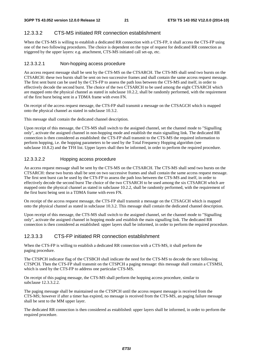#### 12.3.3.2 CTS-MS initiated RR connection establishment

When the CTS-MS is willing to establish a dedicated RR connection with a CTS-FP, it shall access the CTS-FP using one of the two following procedures. The choice is dependent on the type of request for dedicated RR connection as triggered by the upper layers: e.g. attachment, CTS-MS initiated call set-up, etc.

#### 12.3.3.2.1 Non-hopping access procedure

An access request message shall be sent by the CTS-MS on the CTSARCH. The CTS-MS shall send two bursts on the CTSARCH: these two bursts shall be sent on two successive frames and shall contain the same access request message. The first sent burst can be used by the CTS-FP to assess the path loss between the CTS-MS and itself, in order to effectively decode the second burst. The choice of the two CTSARCH to be used among the eight CTSARCH which are mapped onto the physical channel as stated in subclause 10.2.2, shall be randomly performed, with the requirement of the first burst being sent in a TDMA frame with even FN.

On receipt of the access request message, the CTS-FP shall transmit a message on the CTSAGCH which is mapped onto the physical channel as stated in subclause 10.3.2.

This message shall contain the dedicated channel description.

Upon receipt of this message, the CTS-MS shall switch to the assigned channel, set the channel mode to "Signalling only", activate the assigned channel in non-hopping mode and establish the main signalling link. The dedicated RR connection is then considered as established: the CTS-FP shall transmit to the CTS-MS the required information to perform hopping, i.e. the hopping parameters to be used by the Total Frequency Hopping algorithm (see subclause 10.8.2) and the TFH list. Upper layers shall then be informed, in order to perform the required procedure.

#### 12.3.3.2.2 Hopping access procedure

An access request message shall be sent by the CTS-MS on the CTSARCH. The CTS-MS shall send two bursts on the CTSARCH: these two bursts shall be sent on two successive frames and shall contain the same access request message. The first sent burst can be used by the CTS-FP to assess the path loss between the CTS-MS and itself, in order to effectively decode the second burst The choice of the two CTSARCH to be used among the six CTSARCH which are mapped onto the physical channel as stated in subclause 10.2.2, shall be randomly performed, with the requirement of the first burst being sent in a TDMA frame with even FN.

On receipt of the access request message, the CTS-FP shall transmit a message on the CTSAGCH which is mapped onto the physical channel as stated in subclause 10.3.2. This message shall contain the dedicated channel description.

Upon receipt of this message, the CTS-MS shall switch to the assigned channel, set the channel mode to "Signalling only", activate the assigned channel in hopping mode and establish the main signalling link. The dedicated RR connection is then considered as established: upper layers shall be informed, in order to perform the required procedure.

#### 12.3.3.3 CTS-FP initiated RR connection establishment

When the CTS-FP is willing to establish a dedicated RR connection with a CTS-MS, it shall perform the paging procedure.

The CTSPCH indicator flag of the CTSBCH shall indicate the need for the CTS-MS to decode the next following CTSPCH. Then the CTS-FP shall transmit on the CTSPCH a paging message: this message shall contain a CTSMSI, which is used by the CTS-FP to address one particular CTS-MS.

On receipt of this paging message, the CTS-MS shall perform the hopping access procedure, similar to subclause 12.3.3.2.2.

The paging message shall be maintained on the CTSPCH until the access request message is received from the CTS-MS; however if after a timer has expired, no message is received from the CTS-MS, an paging failure message shall be sent to the MM upper layer.

The dedicated RR connection is then considered as established: upper layers shall be informed, in order to perform the required procedure.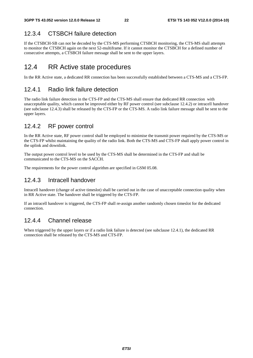### 12.3.4 CTSBCH failure detection

If the CTSBCH-SB can not be decoded by the CTS-MS performing CTSBCH monitoring, the CTS-MS shall attempts to monitor the CTSBCH again on the next 52-multiframe. If it cannot monitor the CTSBCH for a defined number of consecutive attempts, a CTSBCH failure message shall be sent to the upper layers.

## 12.4 RR Active state procedures

In the RR Active state, a dedicated RR connection has been successfully established between a CTS-MS and a CTS-FP.

#### 12.4.1 Radio link failure detection

The radio link failure detection in the CTS-FP and the CTS-MS shall ensure that dedicated RR connection with unacceptable quality, which cannot be improved either by RF power control (see subclause 12.4.2) or intracell handover (see subclause 12.4.3) shall be released by the CTS-FP or the CTS-MS. A radio link failure message shall be sent to the upper layers.

#### 12.4.2 RF power control

In the RR Active state, RF power control shall be employed to minimise the transmit power required by the CTS-MS or the CTS-FP whilst maintaining the quality of the radio link. Both the CTS-MS and CTS-FP shall apply power control in the uplink and downlink.

The output power control level to be used by the CTS-MS shall be determined in the CTS-FP and shall be communicated to the CTS-MS on the SACCH.

The requirements for the power control algorithm are specified in GSM 05.08.

#### 12.4.3 Intracell handover

Intracell handover (change of active timeslot) shall be carried out in the case of unacceptable connection quality when in RR Active state. The handover shall be triggered by the CTS-FP.

If an intracell handover is triggered, the CTS-FP shall re-assign another randomly chosen timeslot for the dedicated connection.

#### 12.4.4 Channel release

When triggered by the upper layers or if a radio link failure is detected (see subclause 12.4.1), the dedicated RR connection shall be released by the CTS-MS and CTS-FP.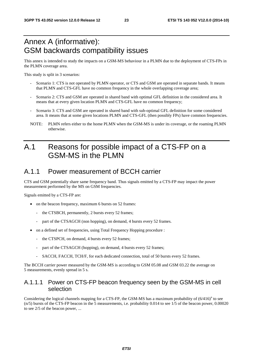# Annex A (informative): GSM backwards compatibility issues

This annex is intended to study the impacts on a GSM-MS behaviour in a PLMN due to the deployment of CTS-FPs in the PLMN coverage area.

This study is split in 3 scenarios:

- Scenario 1: CTS is not operated by PLMN operator, or CTS and GSM are operated in separate bands. It means that PLMN and CTS-GFL have no common frequency in the whole overlapping coverage area;
- Scenario 2: CTS and GSM are operated in shared band with optimal GFL definition in the considered area. It means that at every given location PLMN and CTS-GFL have no common frequency;
- Scenario 3: CTS and GSM are operated in shared band with sub-optimal GFL definition for some considered area. It means that at some given locations PLMN and CTS-GFL (then possibly FPs) have common frequencies.
- NOTE: PLMN refers either to the home PLMN when the GSM-MS is under its coverage, or the roaming PLMN otherwise.

# A.1 Reasons for possible impact of a CTS-FP on a GSM-MS in the PLMN

### A.1.1 Power measurement of BCCH carrier

CTS and GSM potentially share same frequency band. Thus signals emitted by a CTS-FP may impact the power measurement performed by the MS on GSM frequencies.

Signals emitted by a CTS-FP are:

- on the beacon frequency, maximum 6 bursts on 52 frames:
	- the CTSBCH, permanently, 2 bursts every 52 frames;
	- part of the CTSAGCH (non hopping), on demand, 4 bursts every 52 frames.
- on a defined set of frequencies, using Total Frequency Hopping procedure :
	- the CTSPCH, on demand, 4 bursts every 52 frames;
	- part of the CTSAGCH (hopping), on demand, 4 bursts every 52 frames;
	- SACCH, FACCH, TCH/F, for each dedicated connection, total of 50 bursts every 52 frames.

The BCCH carrier power measured by the GSM-MS is according to GSM 05.08 and GSM 03.22 the average on 5 measurements, evenly spread in 5 s.

#### A.1.1.1 Power on CTS-FP beacon frequency seen by the GSM-MS in cell selection

Considering the logical channels mapping for a CTS-FP, the GSM-MS has a maximum probability of  $(6/416)^n$  to see (n/5) bursts of the CTS-FP beacon in the 5 measurements, i.e. probability 0.014 to see 1/5 of the beacon power, 0.00020 to see 2/5 of the beacon power, ...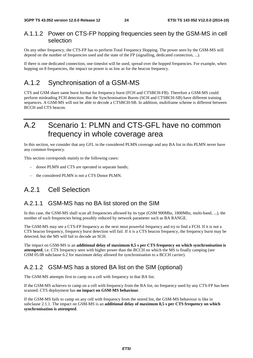#### A.1.1.2 Power on CTS-FP hopping frequencies seen by the GSM-MS in cell selection

On any other frequency, the CTS-FP has to perform Total Frequency Hopping. The power seen by the GSM-MS will depend on the number of frequencies used and the state of the FP (signalling, dedicated connection, ...).

If there is one dedicated connection, one timeslot will be used, spread over the hopped frequencies. For example, when hopping on 8 frequencies, the impact on power is as low as for the beacon frequency.

# A.1.2 Synchronisation of a GSM-MS

CTS and GSM share same burst format for frequency burst (FCH and CTSBCH-FB). Therefore a GSM-MS could perform misleading FCH detection. But the Synchronisation Bursts (SCH and CTSBCH-SB) have different training sequences. A GSM-MS will not be able to decode a CTSBCH-SB. In addition, multiframe scheme is different between BCCH and CTS beacon.

# A.2 Scenario 1: PLMN and CTS-GFL have no common frequency in whole coverage area

In this section, we consider that any GFL in the considered PLMN coverage and any BA list in this PLMN never have any common frequency.

This section corresponds mainly to the following cases:

- donor PLMN and CTS are operated in separate bands;
- the considered PLMN is not a CTS Donor PLMN.

# A.2.1 Cell Selection

#### A.2.1.1 GSM-MS has no BA list stored on the SIM

In this case, the GSM-MS shall scan all frequencies allowed by its type (GSM 900Mhz, 1800Mhz, multi-band, ...), the number of such frequencies being possibly reduced by network parameter such as BA RANGE.

The GSM-MS may see a CTS-FP frequency as the next most powerful frequency and try to find a FCH. If it is not a CTS beacon frequency, frequency burst detection will fail. If it is a CTS beacon frequency, the frequency burst may be detected, but the MS will fail to decode an SCH.

The impact on GSM-MS is an **additional delay of maximum 0,5 s per CTS frequency on which synchronisation is attempted**, i.e. CTS frequency seen with higher power than the BCCH on which the MS is finally camping (see GSM 05.08 subclause 6.2 for maximum delay allowed for synchronisation to a BCCH carrier).

#### A.2.1.2 GSM-MS has a stored BA list on the SIM (optional)

The GSM-MS attempts first to camp on a cell with frequency in that BA list.

If the GSM-MS achieves to camp on a cell with frequency from the BA list, no frequency used by any CTS-FP has been scanned. CTS deployment has **no impact on GSM-MS behaviour**.

If the GSM-MS fails to camp on any cell with frequency from the stored list, the GSM-MS behaviour is like in subclause 2.1.1. The impact on GSM-MS is an **additional delay of maximum 0,5 s per CTS frequency on which synchronisation is attempted**.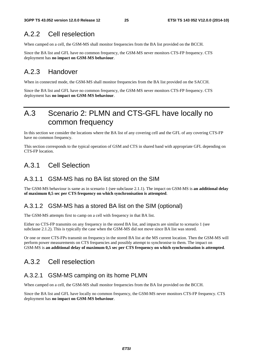# A.2.2 Cell reselection

When camped on a cell, the GSM-MS shall monitor frequencies from the BA list provided on the BCCH.

Since the BA list and GFL have no common frequency, the GSM-MS never monitors CTS-FP frequency. CTS deployment has **no impact on GSM-MS behaviour**.

### A.2.3 Handover

When in connected mode, the GSM-MS shall monitor frequencies from the BA list provided on the SACCH.

Since the BA list and GFL have no common frequency, the GSM-MS never monitors CTS-FP frequency. CTS deployment has **no impact on GSM-MS behaviour**.

# A.3 Scenario 2: PLMN and CTS-GFL have locally no common frequency

In this section we consider the locations where the BA list of any covering cell and the GFL of any covering CTS-FP have no common frequency.

This section corresponds to the typical operation of GSM and CTS in shared band with appropriate GFL depending on CTS-FP location.

# A.3.1 Cell Selection

#### A.3.1.1 GSM-MS has no BA list stored on the SIM

The GSM-MS behaviour is same as in scenario 1 (see subclause 2.1.1). The impact on GSM-MS is **an additional delay of maximum 0,5 sec per CTS frequency on which synchronisation is attempted**.

#### A.3.1.2 GSM-MS has a stored BA list on the SIM (optional)

The GSM-MS attempts first to camp on a cell with frequency in that BA list.

Either no CTS-FP transmits on any frequency in the stored BA list, and impacts are similar to scenario 1 (see subclause 2.1.2). This is typically the case when the GSM-MS did not move since BA list was stored.

Or one or more CTS-FPs transmit on frequency in the stored BA list at the MS current location. Then the GSM-MS will perform power measurements on CTS frequencies and possibly attempt to synchronise to them. The impact on GSM-MS is **an additional delay of maximum 0,5 sec per CTS frequency on which synchronisation is attempted**.

## A.3.2 Cell reselection

#### A.3.2.1 GSM-MS camping on its home PLMN

When camped on a cell, the GSM-MS shall monitor frequencies from the BA list provided on the BCCH.

Since the BA list and GFL have locally no common frequency, the GSM-MS never monitors CTS-FP frequency. CTS deployment has **no impact on GSM-MS behaviour**.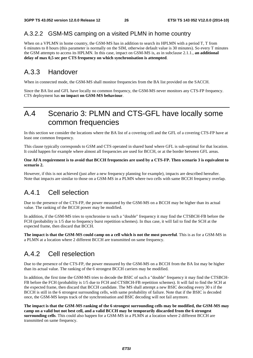#### A.3.2.2 GSM-MS camping on a visited PLMN in home country

When on a VPLMN in home country, the GSM-MS has in addition to search its HPLMN with a period T, T from 6 minutes to 8 hours (this parameter is normally on the SIM, otherwise default value is 30 minutes). So every T minutes the GSM attempts to access its HPLMN. In this case, impact on GSM-MS is, as in subclause 2.1.1., **an additional delay of max 0,5 sec per CTS frequency on which synchronisation is attempted**.

### A.3.3 Handover

When in connected mode, the GSM-MS shall monitor frequencies from the BA list provided on the SACCH.

Since the BA list and GFL have locally no common frequency, the GSM-MS never monitors any CTS-FP frequency. CTS deployment has **no impact on GSM-MS behaviour**.

# A.4 Scenario 3: PLMN and CTS-GFL have locally some common frequencies

In this section we consider the locations where the BA list of a covering cell and the GFL of a covering CTS-FP have at least one common frequency.

This clause typically corresponds to GSM and CTS operated in shared band where GFL is sub-optimal for that location. It could happen for example where almost all frequencies are used for BCCH, or at the border between GFL areas.

#### **One AFA requirement is to avoid that BCCH frequencies are used by a CTS-FP. Then scenario 3 is equivalent to scenario 2.**

However, if this is not achieved (just after a new frequency planning for example), impacts are described hereafter. Note that impacts are similar to those on a GSM-MS in a PLMN where two cells with same BCCH frequency overlap.

# A.4.1 Cell selection

Due to the presence of the CTS-FP, the power measured by the GSM-MS on a BCCH may be higher than its actual value. The ranking of the BCCH power may be modified.

In addition, if the GSM-MS tries to synchronise to such a "double" frequency it may find the CTSBCH-FB before the FCH (probability is 1/5 due to frequency burst repetition schemes). In thus case, it will fail to find the SCH at the expected frame, then discard that BCCH.

**The impact is that the GSM-MS could camp on a cell which is not the most powerful**. This is as for a GSM-MS in a PLMN at a location where 2 different BCCH are transmitted on same frequency.

# A.4.2 Cell reselection

Due to the presence of the CTS-FP, the power measured by the GSM-MS on a BCCH from the BA list may be higher than its actual value. The ranking of the 6 strongest BCCH carriers may be modified.

In addition, the first time the GSM-MS tries to decode the BSIC of such a "double" frequency it may find the CTSBCH-FB before the FCH (probability is 1/5 due to FCH and CTSBCH-FB repetition schemes). It will fail to find the SCH at the expected frame, then discard that BCCH candidate. The MS shall attempt a new BSIC decoding every 30 s if the BCCH is still in the 6 strongest surrounding cells, with same probability of failure. Note that if the BSIC is decoded once, the GSM-MS keeps track of the synchronisation and BSIC decoding will not fail anymore.

**The impact is that the GSM-MS ranking of the 6 strongest surrounding cells may be modified, the GSM-MS may camp on a valid but not best cell, and a valid BCCH may be temporarily discarded from the 6 strongest surrounding cells**. This could also happen for a GSM-MS in a PLMN at a location where 2 different BCCH are transmitted on same frequency.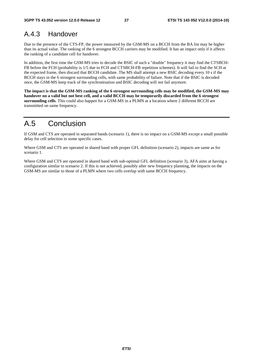# A.4.3 Handover

Due to the presence of the CTS-FP, the power measured by the GSM-MS on a BCCH from the BA list may be higher than its actual value. The ranking of the 6 strongest BCCH carriers may be modified. It has an impact only if it affects the ranking of a candidate cell for handover.

In addition, the first time the GSM-MS tries to decode the BSIC of such a "double" frequency it may find the CTSBCH-FB before the FCH (probability is 1/5 due to FCH and CTSBCH-FB repetition schemes). It will fail to find the SCH at the expected frame, then discard that BCCH candidate. The MS shall attempt a new BSIC decoding every 10 s if the BCCH stays in the 6 strongest surrounding cells, with same probability of failure. Note that if the BSIC is decoded once, the GSM-MS keep track of the synchronisation and BSIC decoding will not fail anymore.

**The impact is that the GSM-MS ranking of the 6 strongest surrounding cells may be modified, the GSM-MS may handover on a valid but not best cell, and a valid BCCH may be temporarily discarded from the 6 strongest surrounding cells**. This could also happen for a GSM-MS in a PLMN at a location where 2 different BCCH are transmitted on same frequency.

# A.5 Conclusion

If GSM and CTS are operated in separated bands (scenario 1), there is no impact on a GSM-MS except a small possible delay for cell selection in some specific cases.

Where GSM and CTS are operated in shared band with proper GFL definition (scenario 2), impacts are same as for scenario 1.

Where GSM and CTS are operated in shared band with sub-optimal GFL definition (scenario 3), AFA aims at having a configuration similar to scenario 2. If this is not achieved, possibly after new frequency planning, the impacts on the GSM-MS are similar to those of a PLMN where two cells overlap with same BCCH frequency.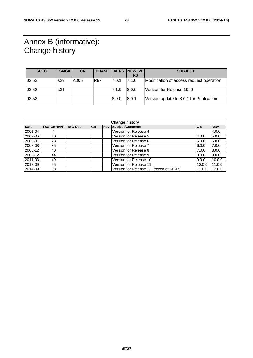# Annex B (informative): Change history

| <b>SPEC</b> | SMG# | <b>CR</b> | <b>PHASE</b> |       | VERS NEW VE | <b>SUBJECT</b>                           |
|-------------|------|-----------|--------------|-------|-------------|------------------------------------------|
|             |      |           |              |       | <b>RS</b>   |                                          |
| 03.52       | s29  | A005      | R97          | 7.0.1 | 7.1.0       | Modification of access request operation |
| 03.52       | s31  |           |              | 7.1.0 | 8.0.0       | Version for Release 1999                 |
| 03.52       |      |           |              | 8.0.0 | 8.0.1       | Version update to 8.0.1 for Publication  |

| <b>Change history</b> |                   |                 |           |            |                                          |              |            |
|-----------------------|-------------------|-----------------|-----------|------------|------------------------------------------|--------------|------------|
| <b>Date</b>           | <b>TSG GERAN#</b> | <b>TSG Doc.</b> | <b>CR</b> | <b>Rev</b> | <b>Subject/Comment</b>                   | <b>l</b> Old | <b>New</b> |
| 2001-04               | 4                 |                 |           |            | Version for Release 4                    |              | 4.0.0      |
| 2002-06               | 10                |                 |           |            | Version for Release 5                    | 4.0.0        | 5.0.0      |
| 2005-01               | 23                |                 |           |            | Version for Release 6                    | 5.0.0        | 6.0.0      |
| 2007-08               | 35                |                 |           |            | Version for Release 7                    | 6.0.0        | 7.0.0      |
| 2008-12               | 40                |                 |           |            | Version for Release 8                    | 7.0.0        | 8.0.0      |
| 2009-12               | 44                |                 |           |            | Version for Release 9                    | 8.0.0        | 9.0.0      |
| 2011-03               | 49                |                 |           |            | Version for Release 10                   | 9.0.0        | 10.0.0     |
| 2012-09               | 55                |                 |           |            | Version for Release 11                   | 10.0.0       | 11.0.0     |
| 2014-09               | 63                |                 |           |            | Version for Release 12 (frozen at SP-65) | 11.0.0       | 12.0.0     |